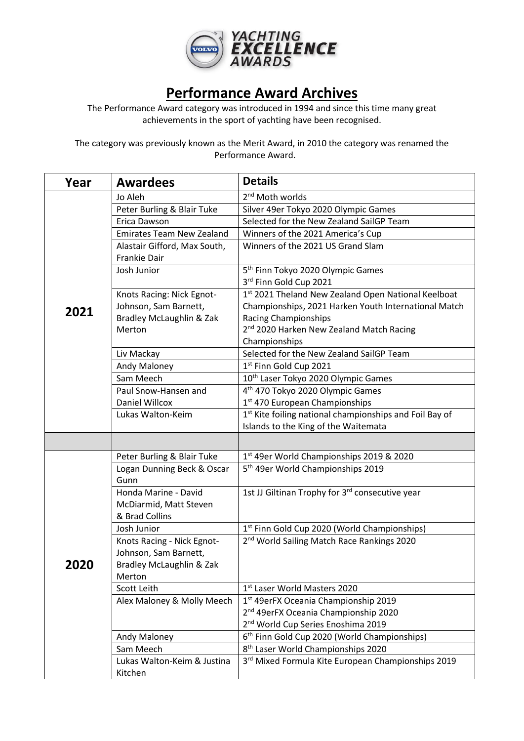

## **Performance Award Archives**

The Performance Award category was introduced in 1994 and since this time many great achievements in the sport of yachting have been recognised.

The category was previously known as the Merit Award, in 2010 the category was renamed the Performance Award.

| Year | <b>Awardees</b>                                                                           | <b>Details</b>                                                                                                                                                                              |
|------|-------------------------------------------------------------------------------------------|---------------------------------------------------------------------------------------------------------------------------------------------------------------------------------------------|
|      | Jo Aleh                                                                                   | $2nd$ Moth worlds                                                                                                                                                                           |
|      | Peter Burling & Blair Tuke                                                                | Silver 49er Tokyo 2020 Olympic Games                                                                                                                                                        |
|      | Erica Dawson                                                                              | Selected for the New Zealand SailGP Team                                                                                                                                                    |
|      | <b>Emirates Team New Zealand</b>                                                          | Winners of the 2021 America's Cup                                                                                                                                                           |
|      | Alastair Gifford, Max South,<br><b>Frankie Dair</b>                                       | Winners of the 2021 US Grand Slam                                                                                                                                                           |
|      | Josh Junior                                                                               | 5 <sup>th</sup> Finn Tokyo 2020 Olympic Games<br>3rd Finn Gold Cup 2021                                                                                                                     |
| 2021 | Knots Racing: Nick Egnot-<br>Johnson, Sam Barnett,<br>Bradley McLaughlin & Zak<br>Merton  | 1st 2021 Theland New Zealand Open National Keelboat<br>Championships, 2021 Harken Youth International Match<br>Racing Championships<br>2 <sup>nd</sup> 2020 Harken New Zealand Match Racing |
|      |                                                                                           | Championships                                                                                                                                                                               |
|      | Liv Mackay                                                                                | Selected for the New Zealand SailGP Team                                                                                                                                                    |
|      | Andy Maloney                                                                              | 1st Finn Gold Cup 2021                                                                                                                                                                      |
|      | Sam Meech                                                                                 | 10 <sup>th</sup> Laser Tokyo 2020 Olympic Games                                                                                                                                             |
|      | Paul Snow-Hansen and                                                                      | 4 <sup>th</sup> 470 Tokyo 2020 Olympic Games                                                                                                                                                |
|      | Daniel Willcox                                                                            | 1 <sup>st</sup> 470 European Championships                                                                                                                                                  |
|      | Lukas Walton-Keim                                                                         | 1st Kite foiling national championships and Foil Bay of                                                                                                                                     |
|      |                                                                                           | Islands to the King of the Waitemata                                                                                                                                                        |
|      |                                                                                           |                                                                                                                                                                                             |
|      | Peter Burling & Blair Tuke                                                                | 1st 49er World Championships 2019 & 2020                                                                                                                                                    |
|      | Logan Dunning Beck & Oscar<br>Gunn                                                        | 5 <sup>th</sup> 49er World Championships 2019                                                                                                                                               |
|      | Honda Marine - David<br>McDiarmid, Matt Steven<br>& Brad Collins                          | 1st JJ Giltinan Trophy for 3rd consecutive year                                                                                                                                             |
|      | Josh Junior                                                                               | 1 <sup>st</sup> Finn Gold Cup 2020 (World Championships)                                                                                                                                    |
| 2020 | Knots Racing - Nick Egnot-<br>Johnson, Sam Barnett,<br>Bradley McLaughlin & Zak<br>Merton | 2 <sup>nd</sup> World Sailing Match Race Rankings 2020                                                                                                                                      |
|      | Scott Leith                                                                               | 1st Laser World Masters 2020                                                                                                                                                                |
|      | Alex Maloney & Molly Meech                                                                | 1 <sup>st</sup> 49erFX Oceania Championship 2019                                                                                                                                            |
|      |                                                                                           | 2 <sup>nd</sup> 49erFX Oceania Championship 2020                                                                                                                                            |
|      |                                                                                           | 2 <sup>nd</sup> World Cup Series Enoshima 2019                                                                                                                                              |
|      | Andy Maloney                                                                              | 6 <sup>th</sup> Finn Gold Cup 2020 (World Championships)                                                                                                                                    |
|      | Sam Meech                                                                                 | 8 <sup>th</sup> Laser World Championships 2020                                                                                                                                              |
|      | Lukas Walton-Keim & Justina<br>Kitchen                                                    | 3rd Mixed Formula Kite European Championships 2019                                                                                                                                          |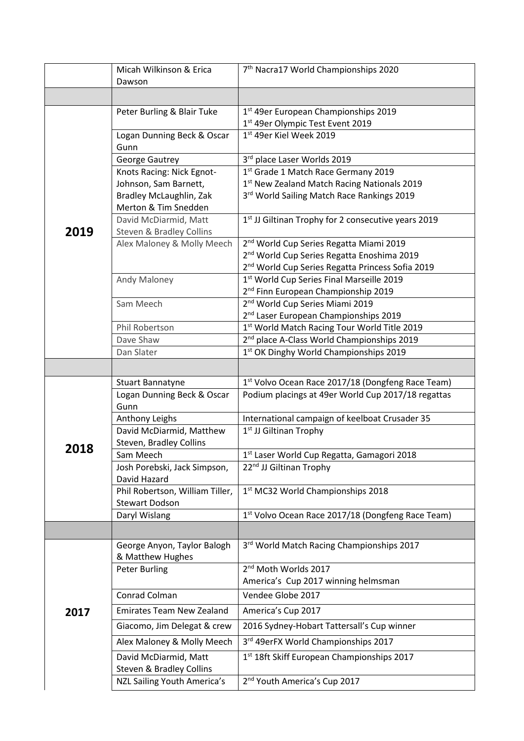|      | Micah Wilkinson & Erica<br>Dawson            | 7 <sup>th</sup> Nacra17 World Championships 2020              |
|------|----------------------------------------------|---------------------------------------------------------------|
|      |                                              |                                                               |
|      |                                              |                                                               |
|      | Peter Burling & Blair Tuke                   | 1st 49er European Championships 2019                          |
|      |                                              | 1st 49er Olympic Test Event 2019                              |
|      | Logan Dunning Beck & Oscar<br>Gunn           | 1st 49er Kiel Week 2019                                       |
|      | George Gautrey                               | 3rd place Laser Worlds 2019                                   |
|      | Knots Racing: Nick Egnot-                    | 1st Grade 1 Match Race Germany 2019                           |
|      | Johnson, Sam Barnett,                        | 1st New Zealand Match Racing Nationals 2019                   |
|      | Bradley McLaughlin, Zak                      | 3rd World Sailing Match Race Rankings 2019                    |
|      | Merton & Tim Snedden                         |                                                               |
|      | David McDiarmid, Matt                        | 1st JJ Giltinan Trophy for 2 consecutive years 2019           |
| 2019 | Steven & Bradley Collins                     |                                                               |
|      | Alex Maloney & Molly Meech                   | 2 <sup>nd</sup> World Cup Series Regatta Miami 2019           |
|      |                                              | 2 <sup>nd</sup> World Cup Series Regatta Enoshima 2019        |
|      |                                              | 2 <sup>nd</sup> World Cup Series Regatta Princess Sofia 2019  |
|      | Andy Maloney                                 | 1st World Cup Series Final Marseille 2019                     |
|      |                                              | 2 <sup>nd</sup> Finn European Championship 2019               |
|      | Sam Meech                                    | 2 <sup>nd</sup> World Cup Series Miami 2019                   |
|      |                                              | 2 <sup>nd</sup> Laser European Championships 2019             |
|      | Phil Robertson                               | 1st World Match Racing Tour World Title 2019                  |
|      | Dave Shaw                                    | 2 <sup>nd</sup> place A-Class World Championships 2019        |
|      | Dan Slater                                   | 1st OK Dinghy World Championships 2019                        |
|      |                                              |                                                               |
|      | Stuart Bannatyne                             | 1st Volvo Ocean Race 2017/18 (Dongfeng Race Team)             |
|      | Logan Dunning Beck & Oscar                   | Podium placings at 49er World Cup 2017/18 regattas            |
|      | Gunn                                         |                                                               |
|      | Anthony Leighs                               | International campaign of keelboat Crusader 35                |
|      | David McDiarmid, Matthew                     | 1 <sup>st</sup> JJ Giltinan Trophy                            |
| 2018 | Steven, Bradley Collins                      |                                                               |
|      | Sam Meech                                    | 1st Laser World Cup Regatta, Gamagori 2018                    |
|      | Josh Porebski, Jack Simpson,<br>David Hazard | 22 <sup>nd</sup> JJ Giltinan Trophy                           |
|      | Phil Robertson, William Tiller,              | 1st MC32 World Championships 2018                             |
|      | <b>Stewart Dodson</b>                        |                                                               |
|      | Daryl Wislang                                | 1 <sup>st</sup> Volvo Ocean Race 2017/18 (Dongfeng Race Team) |
|      |                                              |                                                               |
|      | George Anyon, Taylor Balogh                  | 3rd World Match Racing Championships 2017                     |
|      | & Matthew Hughes                             |                                                               |
| 2017 | <b>Peter Burling</b>                         | 2nd Moth Worlds 2017                                          |
|      |                                              | America's Cup 2017 winning helmsman                           |
|      | Conrad Colman                                | Vendee Globe 2017                                             |
|      | <b>Emirates Team New Zealand</b>             | America's Cup 2017                                            |
|      | Giacomo, Jim Delegat & crew                  | 2016 Sydney-Hobart Tattersall's Cup winner                    |
|      | Alex Maloney & Molly Meech                   | 3rd 49erFX World Championships 2017                           |
|      | David McDiarmid, Matt                        | 1st 18ft Skiff European Championships 2017                    |
|      | Steven & Bradley Collins                     | 2 <sup>nd</sup> Youth America's Cup 2017                      |
|      | NZL Sailing Youth America's                  |                                                               |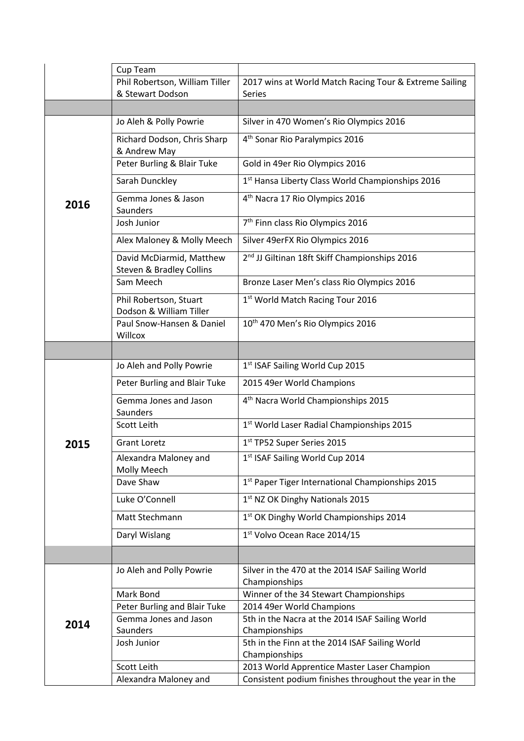|      | Cup Team                                             |                                                                 |
|------|------------------------------------------------------|-----------------------------------------------------------------|
|      | Phil Robertson, William Tiller                       | 2017 wins at World Match Racing Tour & Extreme Sailing          |
|      | & Stewart Dodson                                     | <b>Series</b>                                                   |
|      |                                                      |                                                                 |
|      | Jo Aleh & Polly Powrie                               | Silver in 470 Women's Rio Olympics 2016                         |
|      | Richard Dodson, Chris Sharp<br>& Andrew May          | 4 <sup>th</sup> Sonar Rio Paralympics 2016                      |
|      | Peter Burling & Blair Tuke                           | Gold in 49er Rio Olympics 2016                                  |
|      | Sarah Dunckley                                       | 1st Hansa Liberty Class World Championships 2016                |
| 2016 | Gemma Jones & Jason<br>Saunders                      | 4 <sup>th</sup> Nacra 17 Rio Olympics 2016                      |
|      | Josh Junior                                          | 7 <sup>th</sup> Finn class Rio Olympics 2016                    |
|      | Alex Maloney & Molly Meech                           | Silver 49erFX Rio Olympics 2016                                 |
|      | David McDiarmid, Matthew<br>Steven & Bradley Collins | 2 <sup>nd</sup> JJ Giltinan 18ft Skiff Championships 2016       |
|      | Sam Meech                                            | Bronze Laser Men's class Rio Olympics 2016                      |
|      | Phil Robertson, Stuart<br>Dodson & William Tiller    | 1st World Match Racing Tour 2016                                |
|      | Paul Snow-Hansen & Daniel<br>Willcox                 | 10 <sup>th</sup> 470 Men's Rio Olympics 2016                    |
|      |                                                      |                                                                 |
|      | Jo Aleh and Polly Powrie                             | 1st ISAF Sailing World Cup 2015                                 |
|      | Peter Burling and Blair Tuke                         | 2015 49er World Champions                                       |
|      | Gemma Jones and Jason<br>Saunders                    | 4 <sup>th</sup> Nacra World Championships 2015                  |
|      | Scott Leith                                          | 1st World Laser Radial Championships 2015                       |
| 2015 | <b>Grant Loretz</b>                                  | 1 <sup>st</sup> TP52 Super Series 2015                          |
|      | Alexandra Maloney and<br>Molly Meech                 | 1st ISAF Sailing World Cup 2014                                 |
|      | Dave Shaw                                            | 1st Paper Tiger International Championships 2015                |
|      | Luke O'Connell                                       | 1st NZ OK Dinghy Nationals 2015                                 |
|      | Matt Stechmann                                       | 1st OK Dinghy World Championships 2014                          |
|      | Daryl Wislang                                        | 1st Volvo Ocean Race 2014/15                                    |
|      |                                                      |                                                                 |
|      | Jo Aleh and Polly Powrie                             | Silver in the 470 at the 2014 ISAF Sailing World                |
|      |                                                      | Championships                                                   |
|      | Mark Bond                                            | Winner of the 34 Stewart Championships                          |
|      | Peter Burling and Blair Tuke                         | 2014 49er World Champions                                       |
| 2014 | Gemma Jones and Jason<br>Saunders                    | 5th in the Nacra at the 2014 ISAF Sailing World                 |
|      | Josh Junior                                          | Championships<br>5th in the Finn at the 2014 ISAF Sailing World |
|      |                                                      | Championships                                                   |
|      | Scott Leith                                          | 2013 World Apprentice Master Laser Champion                     |
|      | Alexandra Maloney and                                | Consistent podium finishes throughout the year in the           |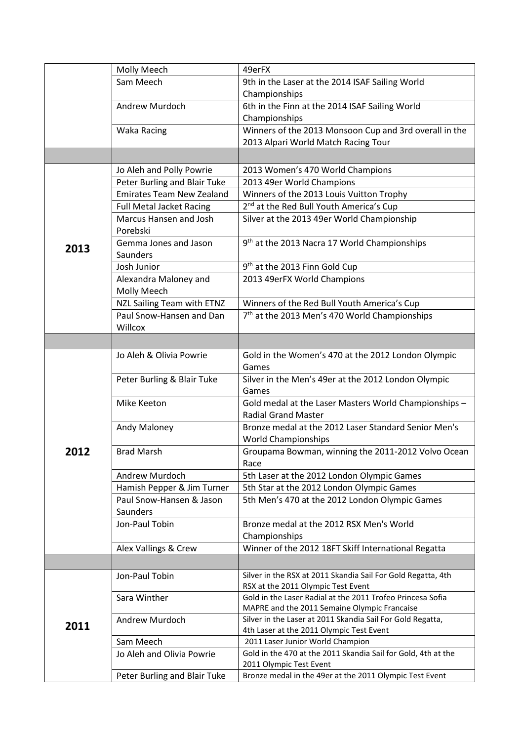|      | Molly Meech                      | 49erFX                                                                                                 |
|------|----------------------------------|--------------------------------------------------------------------------------------------------------|
|      | Sam Meech                        | 9th in the Laser at the 2014 ISAF Sailing World                                                        |
|      |                                  | Championships                                                                                          |
|      | Andrew Murdoch                   | 6th in the Finn at the 2014 ISAF Sailing World                                                         |
|      |                                  | Championships                                                                                          |
|      | <b>Waka Racing</b>               | Winners of the 2013 Monsoon Cup and 3rd overall in the                                                 |
|      |                                  | 2013 Alpari World Match Racing Tour                                                                    |
|      |                                  |                                                                                                        |
|      | Jo Aleh and Polly Powrie         | 2013 Women's 470 World Champions                                                                       |
|      | Peter Burling and Blair Tuke     | 2013 49er World Champions                                                                              |
|      | <b>Emirates Team New Zealand</b> | Winners of the 2013 Louis Vuitton Trophy                                                               |
|      | <b>Full Metal Jacket Racing</b>  | 2 <sup>nd</sup> at the Red Bull Youth America's Cup                                                    |
|      | Marcus Hansen and Josh           | Silver at the 2013 49er World Championship                                                             |
|      | Porebski                         |                                                                                                        |
|      | Gemma Jones and Jason            | 9 <sup>th</sup> at the 2013 Nacra 17 World Championships                                               |
| 2013 | Saunders                         |                                                                                                        |
|      | Josh Junior                      | 9 <sup>th</sup> at the 2013 Finn Gold Cup                                                              |
|      | Alexandra Maloney and            | 2013 49erFX World Champions                                                                            |
|      | Molly Meech                      |                                                                                                        |
|      | NZL Sailing Team with ETNZ       | Winners of the Red Bull Youth America's Cup                                                            |
|      | Paul Snow-Hansen and Dan         | 7 <sup>th</sup> at the 2013 Men's 470 World Championships                                              |
|      | Willcox                          |                                                                                                        |
|      |                                  |                                                                                                        |
|      | Jo Aleh & Olivia Powrie          | Gold in the Women's 470 at the 2012 London Olympic                                                     |
|      |                                  | Games                                                                                                  |
|      | Peter Burling & Blair Tuke       | Silver in the Men's 49er at the 2012 London Olympic                                                    |
|      |                                  | Games                                                                                                  |
|      | Mike Keeton                      | Gold medal at the Laser Masters World Championships -                                                  |
|      |                                  | <b>Radial Grand Master</b>                                                                             |
|      | Andy Maloney                     | Bronze medal at the 2012 Laser Standard Senior Men's                                                   |
|      |                                  | <b>World Championships</b>                                                                             |
| 2012 | <b>Brad Marsh</b>                | Groupama Bowman, winning the 2011-2012 Volvo Ocean                                                     |
|      |                                  | Race                                                                                                   |
|      | Andrew Murdoch                   | 5th Laser at the 2012 London Olympic Games                                                             |
|      | Hamish Pepper & Jim Turner       | 5th Star at the 2012 London Olympic Games                                                              |
|      | Paul Snow-Hansen & Jason         | 5th Men's 470 at the 2012 London Olympic Games                                                         |
|      | Saunders                         |                                                                                                        |
|      | Jon-Paul Tobin                   | Bronze medal at the 2012 RSX Men's World                                                               |
|      |                                  | Championships                                                                                          |
|      | Alex Vallings & Crew             | Winner of the 2012 18FT Skiff International Regatta                                                    |
|      |                                  |                                                                                                        |
|      | Jon-Paul Tobin                   | Silver in the RSX at 2011 Skandia Sail For Gold Regatta, 4th                                           |
|      |                                  | RSX at the 2011 Olympic Test Event                                                                     |
|      | Sara Winther                     | Gold in the Laser Radial at the 2011 Trofeo Princesa Sofia                                             |
|      |                                  | MAPRE and the 2011 Semaine Olympic Francaise                                                           |
| 2011 | Andrew Murdoch                   | Silver in the Laser at 2011 Skandia Sail For Gold Regatta,<br>4th Laser at the 2011 Olympic Test Event |
|      | Sam Meech                        | 2011 Laser Junior World Champion                                                                       |
|      | Jo Aleh and Olivia Powrie        | Gold in the 470 at the 2011 Skandia Sail for Gold, 4th at the                                          |
|      |                                  | 2011 Olympic Test Event                                                                                |
|      | Peter Burling and Blair Tuke     | Bronze medal in the 49er at the 2011 Olympic Test Event                                                |
|      |                                  |                                                                                                        |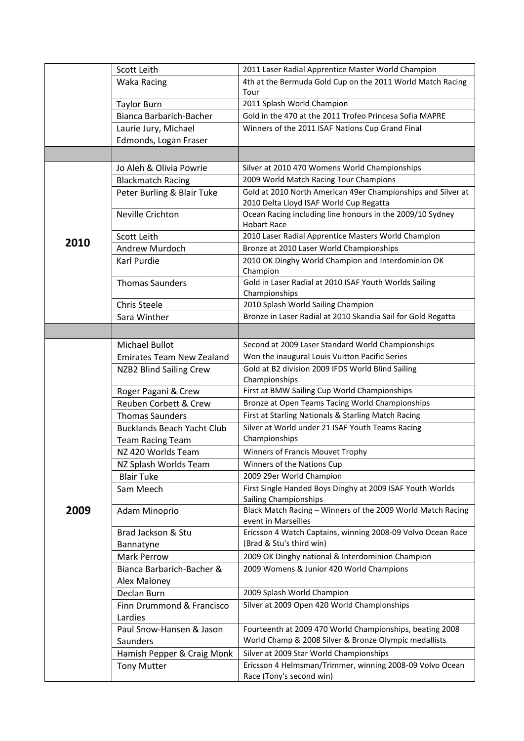|      | Scott Leith                                                  | 2011 Laser Radial Apprentice Master World Champion                                                      |
|------|--------------------------------------------------------------|---------------------------------------------------------------------------------------------------------|
|      | <b>Waka Racing</b>                                           | 4th at the Bermuda Gold Cup on the 2011 World Match Racing                                              |
|      |                                                              | Tour                                                                                                    |
|      | <b>Taylor Burn</b>                                           | 2011 Splash World Champion                                                                              |
|      | <b>Bianca Barbarich-Bacher</b>                               | Gold in the 470 at the 2011 Trofeo Princesa Sofia MAPRE                                                 |
|      | Laurie Jury, Michael                                         | Winners of the 2011 ISAF Nations Cup Grand Final                                                        |
|      | Edmonds, Logan Fraser                                        |                                                                                                         |
|      |                                                              |                                                                                                         |
|      | Jo Aleh & Olivia Powrie                                      | Silver at 2010 470 Womens World Championships                                                           |
|      | <b>Blackmatch Racing</b>                                     | 2009 World Match Racing Tour Champions                                                                  |
|      | Peter Burling & Blair Tuke                                   | Gold at 2010 North American 49er Championships and Silver at<br>2010 Delta Lloyd ISAF World Cup Regatta |
|      | Neville Crichton                                             | Ocean Racing including line honours in the 2009/10 Sydney                                               |
|      |                                                              | <b>Hobart Race</b>                                                                                      |
| 2010 | Scott Leith                                                  | 2010 Laser Radial Apprentice Masters World Champion                                                     |
|      | Andrew Murdoch                                               | Bronze at 2010 Laser World Championships                                                                |
|      | Karl Purdie                                                  | 2010 OK Dinghy World Champion and Interdominion OK<br>Champion                                          |
|      | <b>Thomas Saunders</b>                                       | Gold in Laser Radial at 2010 ISAF Youth Worlds Sailing                                                  |
|      |                                                              | Championships                                                                                           |
|      | <b>Chris Steele</b>                                          | 2010 Splash World Sailing Champion                                                                      |
|      | Sara Winther                                                 | Bronze in Laser Radial at 2010 Skandia Sail for Gold Regatta                                            |
|      |                                                              |                                                                                                         |
|      | <b>Michael Bullot</b>                                        | Second at 2009 Laser Standard World Championships                                                       |
|      | <b>Emirates Team New Zealand</b>                             | Won the inaugural Louis Vuitton Pacific Series                                                          |
|      | <b>NZB2 Blind Sailing Crew</b>                               | Gold at B2 division 2009 IFDS World Blind Sailing                                                       |
|      |                                                              | Championships                                                                                           |
|      | Roger Pagani & Crew                                          | First at BMW Sailing Cup World Championships                                                            |
|      | Reuben Corbett & Crew                                        | Bronze at Open Teams Tacing World Championships                                                         |
|      | <b>Thomas Saunders</b>                                       | First at Starling Nationals & Starling Match Racing                                                     |
|      | <b>Bucklands Beach Yacht Club</b><br><b>Team Racing Team</b> | Silver at World under 21 ISAF Youth Teams Racing<br>Championships                                       |
|      | NZ 420 Worlds Team                                           | Winners of Francis Mouvet Trophy                                                                        |
|      | NZ Splash Worlds Team                                        | Winners of the Nations Cup                                                                              |
|      | <b>Blair Tuke</b>                                            | 2009 29er World Champion                                                                                |
|      | Sam Meech                                                    | First Single Handed Boys Dinghy at 2009 ISAF Youth Worlds<br>Sailing Championships                      |
| 2009 | Adam Minoprio                                                | Black Match Racing - Winners of the 2009 World Match Racing<br>event in Marseilles                      |
|      | Brad Jackson & Stu<br>Bannatyne                              | Ericsson 4 Watch Captains, winning 2008-09 Volvo Ocean Race<br>(Brad & Stu's third win)                 |
|      | <b>Mark Perrow</b>                                           | 2009 OK Dinghy national & Interdominion Champion                                                        |
|      | Bianca Barbarich-Bacher &                                    | 2009 Womens & Junior 420 World Champions                                                                |
|      | Alex Maloney                                                 |                                                                                                         |
|      | Declan Burn                                                  | 2009 Splash World Champion                                                                              |
|      | Finn Drummond & Francisco                                    | Silver at 2009 Open 420 World Championships                                                             |
|      | Lardies                                                      |                                                                                                         |
|      | Paul Snow-Hansen & Jason                                     | Fourteenth at 2009 470 World Championships, beating 2008                                                |
|      | Saunders                                                     | World Champ & 2008 Silver & Bronze Olympic medallists                                                   |
|      | Hamish Pepper & Craig Monk                                   | Silver at 2009 Star World Championships                                                                 |
|      | <b>Tony Mutter</b>                                           | Ericsson 4 Helmsman/Trimmer, winning 2008-09 Volvo Ocean<br>Race (Tony's second win)                    |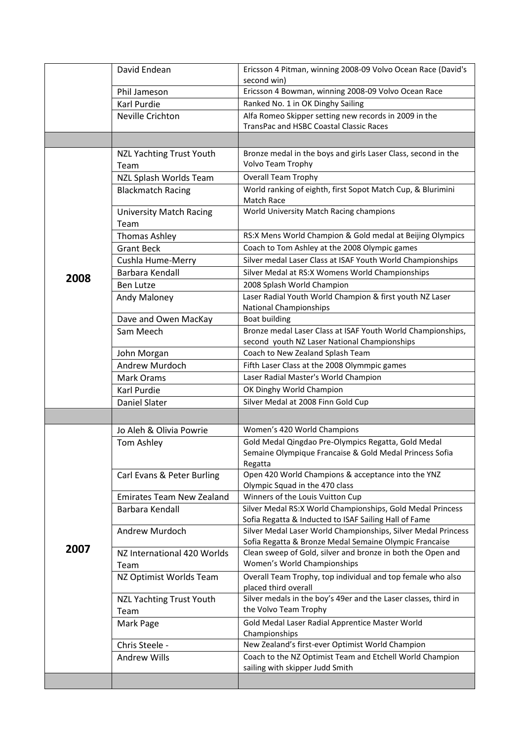|      | David Endean                            | Ericsson 4 Pitman, winning 2008-09 Volvo Ocean Race (David's                                                            |
|------|-----------------------------------------|-------------------------------------------------------------------------------------------------------------------------|
|      |                                         | second win)                                                                                                             |
|      | Phil Jameson                            | Ericsson 4 Bowman, winning 2008-09 Volvo Ocean Race                                                                     |
|      | Karl Purdie                             | Ranked No. 1 in OK Dinghy Sailing                                                                                       |
|      | <b>Neville Crichton</b>                 | Alfa Romeo Skipper setting new records in 2009 in the<br><b>TransPac and HSBC Coastal Classic Races</b>                 |
|      |                                         |                                                                                                                         |
|      |                                         | Bronze medal in the boys and girls Laser Class, second in the                                                           |
|      | <b>NZL Yachting Trust Youth</b><br>Team | Volvo Team Trophy                                                                                                       |
|      | NZL Splash Worlds Team                  | <b>Overall Team Trophy</b>                                                                                              |
|      | <b>Blackmatch Racing</b>                | World ranking of eighth, first Sopot Match Cup, & Blurimini<br>Match Race                                               |
|      | <b>University Match Racing</b>          | World University Match Racing champions                                                                                 |
|      | Team                                    |                                                                                                                         |
|      | <b>Thomas Ashley</b>                    | RS:X Mens World Champion & Gold medal at Beijing Olympics                                                               |
|      | <b>Grant Beck</b>                       | Coach to Tom Ashley at the 2008 Olympic games                                                                           |
|      | Cushla Hume-Merry                       | Silver medal Laser Class at ISAF Youth World Championships                                                              |
|      | Barbara Kendall                         | Silver Medal at RS:X Womens World Championships                                                                         |
| 2008 | <b>Ben Lutze</b>                        | 2008 Splash World Champion                                                                                              |
|      | Andy Maloney                            | Laser Radial Youth World Champion & first youth NZ Laser<br><b>National Championships</b>                               |
|      | Dave and Owen MacKay                    | <b>Boat building</b>                                                                                                    |
|      | Sam Meech                               | Bronze medal Laser Class at ISAF Youth World Championships,                                                             |
|      |                                         | second youth NZ Laser National Championships                                                                            |
|      | John Morgan                             | Coach to New Zealand Splash Team                                                                                        |
|      | Andrew Murdoch                          | Fifth Laser Class at the 2008 Olymmpic games                                                                            |
|      | <b>Mark Orams</b>                       | Laser Radial Master's World Champion                                                                                    |
|      | Karl Purdie                             | OK Dinghy World Champion                                                                                                |
|      | <b>Daniel Slater</b>                    | Silver Medal at 2008 Finn Gold Cup                                                                                      |
|      |                                         |                                                                                                                         |
|      | Jo Aleh & Olivia Powrie                 | Women's 420 World Champions                                                                                             |
|      | Tom Ashley                              | Gold Medal Qingdao Pre-Olympics Regatta, Gold Medal                                                                     |
|      |                                         | Semaine Olympique Francaise & Gold Medal Princess Sofia                                                                 |
|      |                                         | Regatta                                                                                                                 |
|      | Carl Evans & Peter Burling              | Open 420 World Champions & acceptance into the YNZ<br>Olympic Squad in the 470 class                                    |
|      | <b>Emirates Team New Zealand</b>        | Winners of the Louis Vuitton Cup                                                                                        |
|      | Barbara Kendall                         | Silver Medal RS:X World Championships, Gold Medal Princess                                                              |
|      |                                         | Sofia Regatta & Inducted to ISAF Sailing Hall of Fame                                                                   |
|      | Andrew Murdoch                          | Silver Medal Laser World Championships, Silver Medal Princess<br>Sofia Regatta & Bronze Medal Semaine Olympic Francaise |
| 2007 | NZ International 420 Worlds             | Clean sweep of Gold, silver and bronze in both the Open and                                                             |
|      | Team                                    | Women's World Championships                                                                                             |
|      | NZ Optimist Worlds Team                 | Overall Team Trophy, top individual and top female who also                                                             |
|      |                                         | placed third overall                                                                                                    |
|      | <b>NZL Yachting Trust Youth</b>         | Silver medals in the boy's 49er and the Laser classes, third in                                                         |
|      | Team                                    | the Volvo Team Trophy                                                                                                   |
|      | Mark Page                               | Gold Medal Laser Radial Apprentice Master World<br>Championships                                                        |
|      | Chris Steele -                          | New Zealand's first-ever Optimist World Champion                                                                        |
|      | <b>Andrew Wills</b>                     | Coach to the NZ Optimist Team and Etchell World Champion                                                                |
|      |                                         | sailing with skipper Judd Smith                                                                                         |
|      |                                         |                                                                                                                         |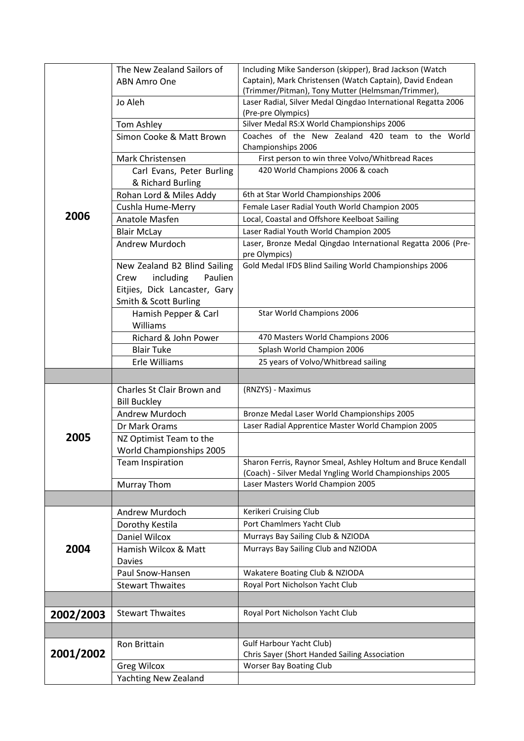|           | The New Zealand Sailors of            | Including Mike Sanderson (skipper), Brad Jackson (Watch                       |
|-----------|---------------------------------------|-------------------------------------------------------------------------------|
|           | ABN Amro One                          | Captain), Mark Christensen (Watch Captain), David Endean                      |
|           |                                       | (Trimmer/Pitman), Tony Mutter (Helmsman/Trimmer),                             |
|           | Jo Aleh                               | Laser Radial, Silver Medal Qingdao International Regatta 2006                 |
|           |                                       | (Pre-pre Olympics)                                                            |
|           | Tom Ashley                            | Silver Medal RS:X World Championships 2006                                    |
|           | Simon Cooke & Matt Brown              | Coaches of the New Zealand 420 team to the World                              |
|           | Mark Christensen                      | Championships 2006<br>First person to win three Volvo/Whitbread Races         |
|           | Carl Evans, Peter Burling             | 420 World Champions 2006 & coach                                              |
|           | & Richard Burling                     |                                                                               |
|           | Rohan Lord & Miles Addy               | 6th at Star World Championships 2006                                          |
|           | Cushla Hume-Merry                     | Female Laser Radial Youth World Champion 2005                                 |
| 2006      | Anatole Masfen                        | Local, Coastal and Offshore Keelboat Sailing                                  |
|           | <b>Blair McLay</b>                    | Laser Radial Youth World Champion 2005                                        |
|           | Andrew Murdoch                        | Laser, Bronze Medal Qingdao International Regatta 2006 (Pre-<br>pre Olympics) |
|           | New Zealand B2 Blind Sailing          | Gold Medal IFDS Blind Sailing World Championships 2006                        |
|           | including<br>Paulien<br>Crew          |                                                                               |
|           | Eitjies, Dick Lancaster, Gary         |                                                                               |
|           | Smith & Scott Burling                 |                                                                               |
|           | Hamish Pepper & Carl                  | Star World Champions 2006                                                     |
|           | Williams                              |                                                                               |
|           | Richard & John Power                  | 470 Masters World Champions 2006                                              |
|           | <b>Blair Tuke</b>                     | Splash World Champion 2006                                                    |
|           | Erle Williams                         | 25 years of Volvo/Whitbread sailing                                           |
|           |                                       |                                                                               |
|           | Charles St Clair Brown and            | (RNZYS) - Maximus                                                             |
|           | <b>Bill Buckley</b><br>Andrew Murdoch | Bronze Medal Laser World Championships 2005                                   |
|           | Dr Mark Orams                         | Laser Radial Apprentice Master World Champion 2005                            |
| 2005      | NZ Optimist Team to the               |                                                                               |
|           | World Championships 2005              |                                                                               |
|           | Team Inspiration                      | Sharon Ferris, Raynor Smeal, Ashley Holtum and Bruce Kendall                  |
|           |                                       | (Coach) - Silver Medal Yngling World Championships 2005                       |
|           | Murray Thom                           | Laser Masters World Champion 2005                                             |
|           |                                       |                                                                               |
|           | Andrew Murdoch                        | Kerikeri Cruising Club                                                        |
|           | Dorothy Kestila                       | Port Chamlmers Yacht Club                                                     |
|           | <b>Daniel Wilcox</b>                  | Murrays Bay Sailing Club & NZIODA                                             |
| 2004      | Hamish Wilcox & Matt                  | Murrays Bay Sailing Club and NZIODA                                           |
|           | <b>Davies</b>                         |                                                                               |
|           | Paul Snow-Hansen                      | Wakatere Boating Club & NZIODA                                                |
|           | <b>Stewart Thwaites</b>               | Royal Port Nicholson Yacht Club                                               |
|           |                                       |                                                                               |
| 2002/2003 | <b>Stewart Thwaites</b>               | Royal Port Nicholson Yacht Club                                               |
|           |                                       |                                                                               |
|           | Ron Brittain                          | Gulf Harbour Yacht Club)                                                      |
| 2001/2002 |                                       | Chris Sayer (Short Handed Sailing Association                                 |
|           | <b>Greg Wilcox</b>                    | Worser Bay Boating Club                                                       |
|           | Yachting New Zealand                  |                                                                               |